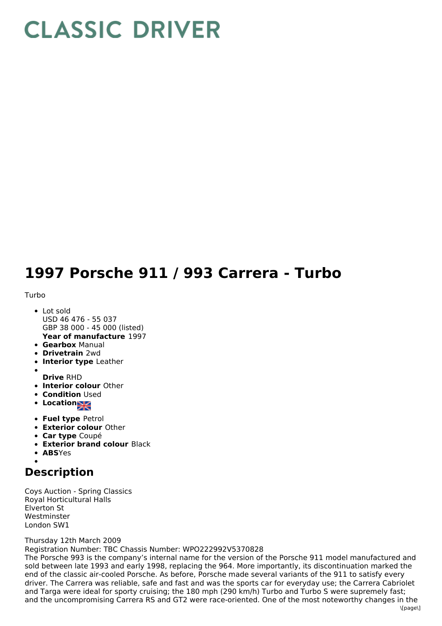# **CLASSIC DRIVER**

## **1997 Porsche 911 / 993 Carrera - Turbo**

#### Turbo

- **Year of manufacture** 1997 Lot sold USD 46 476 - 55 037 GBP 38 000 - 45 000 (listed)
- **Gearbox** Manual
- **Drivetrain** 2wd
- **Interior type** Leather
- 
- **Drive** RHD
- **Interior colour** Other
- **Condition Used**
- Location
- **Fuel type** Petrol
- **Exterior colour** Other
- **Car type** Coupé
- **Exterior brand colour** Black
- **ABS**Yes

### **Description**

Coys Auction - Spring Classics Royal Horticultural Halls Elverton St **Westminster** London SW1

#### Thursday 12th March 2009

Registration Number: TBC Chassis Number: WPO222992V5370828

The Porsche 993 is the company's internal name for the version of the Porsche 911 model manufactured and sold between late 1993 and early 1998, replacing the 964. More importantly, its discontinuation marked the end of the classic air-cooled Porsche. As before, Porsche made several variants of the 911 to satisfy every driver. The Carrera was reliable, safe and fast and was the sports car for everyday use; the Carrera Cabriolet and Targa were ideal for sporty cruising; the 180 mph (290 km/h) Turbo and Turbo S were supremely fast; and the uncompromising Carrera RS and GT2 were race-oriented. One of the most noteworthy changes in the